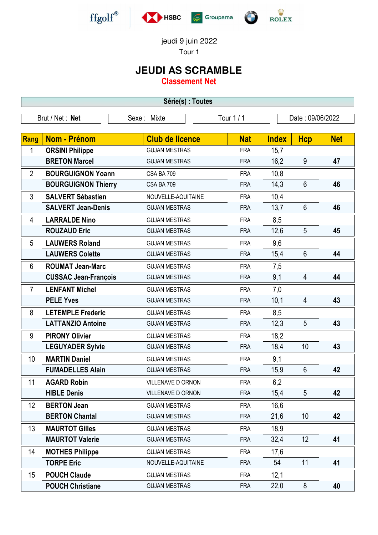





jeudi 9 juin 2022

Tour 1

## **JEUDI AS SCRAMBLE**

**Classement Net**

| Série(s) : Toutes                                                |                             |                        |            |              |                |            |  |
|------------------------------------------------------------------|-----------------------------|------------------------|------------|--------------|----------------|------------|--|
| Tour 1 / 1<br>Date: 09/06/2022<br>Brut / Net: Net<br>Sexe: Mixte |                             |                        |            |              |                |            |  |
| Rang                                                             | Nom - Prénom                | <b>Club de licence</b> | <b>Nat</b> | <b>Index</b> | <b>Hcp</b>     | <b>Net</b> |  |
| 1                                                                | <b>ORSINI Philippe</b>      | <b>GUJAN MESTRAS</b>   | <b>FRA</b> | 15,7         |                |            |  |
|                                                                  | <b>BRETON Marcel</b>        | <b>GUJAN MESTRAS</b>   | <b>FRA</b> | 16,2         | 9              | 47         |  |
| $\overline{2}$                                                   | <b>BOURGUIGNON Yoann</b>    | CSA BA 709             | <b>FRA</b> | 10,8         |                |            |  |
|                                                                  | <b>BOURGUIGNON Thierry</b>  | CSA BA 709             | <b>FRA</b> | 14,3         | $6\phantom{1}$ | 46         |  |
| 3                                                                | <b>SALVERT Sébastien</b>    | NOUVELLE-AQUITAINE     | <b>FRA</b> | 10,4         |                |            |  |
|                                                                  | <b>SALVERT Jean-Denis</b>   | <b>GUJAN MESTRAS</b>   | <b>FRA</b> | 13,7         | $6\phantom{1}$ | 46         |  |
| 4                                                                | <b>LARRALDE Nino</b>        | <b>GUJAN MESTRAS</b>   | <b>FRA</b> | 8,5          |                |            |  |
|                                                                  | <b>ROUZAUD Eric</b>         | <b>GUJAN MESTRAS</b>   | <b>FRA</b> | 12,6         | 5              | 45         |  |
| 5                                                                | <b>LAUWERS Roland</b>       | <b>GUJAN MESTRAS</b>   | <b>FRA</b> | 9,6          |                |            |  |
|                                                                  | <b>LAUWERS Colette</b>      | <b>GUJAN MESTRAS</b>   | <b>FRA</b> | 15,4         | 6              | 44         |  |
| 6                                                                | <b>ROUMAT Jean-Marc</b>     | <b>GUJAN MESTRAS</b>   | <b>FRA</b> | 7,5          |                |            |  |
|                                                                  | <b>CUSSAC Jean-François</b> | <b>GUJAN MESTRAS</b>   | <b>FRA</b> | 9,1          | 4              | 44         |  |
| 7                                                                | <b>LENFANT Michel</b>       | <b>GUJAN MESTRAS</b>   | <b>FRA</b> | 7,0          |                |            |  |
|                                                                  | <b>PELE Yves</b>            | <b>GUJAN MESTRAS</b>   | <b>FRA</b> | 10,1         | 4              | 43         |  |
| 8                                                                | <b>LETEMPLE Frederic</b>    | <b>GUJAN MESTRAS</b>   | <b>FRA</b> | 8,5          |                |            |  |
|                                                                  | <b>LATTANZIO Antoine</b>    | <b>GUJAN MESTRAS</b>   | <b>FRA</b> | 12,3         | 5              | 43         |  |
| 9                                                                | <b>PIRONY Olivier</b>       | <b>GUJAN MESTRAS</b>   | <b>FRA</b> | 18,2         |                |            |  |
|                                                                  | <b>LEGUYADER Sylvie</b>     | <b>GUJAN MESTRAS</b>   | <b>FRA</b> | 18,4         | 10             | 43         |  |
| 10                                                               | <b>MARTIN Daniel</b>        | <b>GUJAN MESTRAS</b>   | <b>FRA</b> | 9,1          |                |            |  |
|                                                                  | <b>FUMADELLES Alain</b>     | <b>GUJAN MESTRAS</b>   | <b>FRA</b> | 15,9         | 6              | 42         |  |
| 11                                                               | <b>AGARD Robin</b>          | VILLENAVE D ORNON      | <b>FRA</b> | 6,2          |                |            |  |
|                                                                  | <b>HIBLE Denis</b>          | VILLENAVE D ORNON      | <b>FRA</b> | 15,4         | 5              | 42         |  |
| 12                                                               | <b>BERTON Jean</b>          | <b>GUJAN MESTRAS</b>   | <b>FRA</b> | 16,6         |                |            |  |
|                                                                  | <b>BERTON Chantal</b>       | <b>GUJAN MESTRAS</b>   | <b>FRA</b> | 21,6         | 10             | 42         |  |
| 13                                                               | <b>MAURTOT Gilles</b>       | <b>GUJAN MESTRAS</b>   | <b>FRA</b> | 18,9         |                |            |  |
|                                                                  | <b>MAURTOT Valerie</b>      | <b>GUJAN MESTRAS</b>   | <b>FRA</b> | 32,4         | 12             | 41         |  |
| 14                                                               | <b>MOTHES Philippe</b>      | <b>GUJAN MESTRAS</b>   | <b>FRA</b> | 17,6         |                |            |  |
|                                                                  | <b>TORPE Eric</b>           | NOUVELLE-AQUITAINE     | <b>FRA</b> | 54           | 11             | 41         |  |
| 15                                                               | <b>POUCH Claude</b>         | <b>GUJAN MESTRAS</b>   | <b>FRA</b> | 12,1         |                |            |  |
|                                                                  | <b>POUCH Christiane</b>     | <b>GUJAN MESTRAS</b>   | <b>FRA</b> | 22,0         | 8              | 40         |  |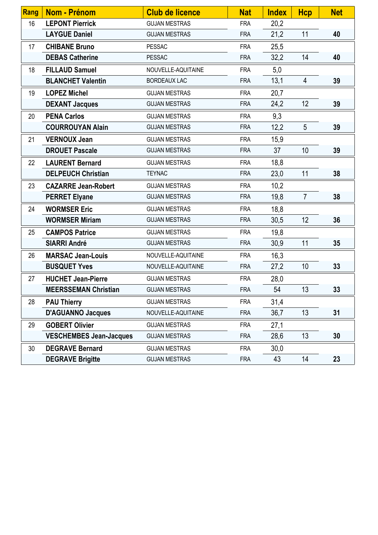| <b>Rang</b> | Nom - Prénom                   | <b>Club de licence</b> | <b>Nat</b> | <b>Index</b> | Hcp             | <b>Net</b> |
|-------------|--------------------------------|------------------------|------------|--------------|-----------------|------------|
| 16          | <b>LEPONT Pierrick</b>         | <b>GUJAN MESTRAS</b>   | <b>FRA</b> | 20,2         |                 |            |
|             | <b>LAYGUE Daniel</b>           | <b>GUJAN MESTRAS</b>   | <b>FRA</b> | 21,2         | 11              | 40         |
| 17          | <b>CHIBANE Bruno</b>           | <b>PESSAC</b>          | <b>FRA</b> | 25,5         |                 |            |
|             | <b>DEBAS Catherine</b>         | <b>PESSAC</b>          | <b>FRA</b> | 32,2         | 14              | 40         |
| 18          | <b>FILLAUD Samuel</b>          | NOUVELLE-AQUITAINE     | <b>FRA</b> | 5,0          |                 |            |
|             | <b>BLANCHET Valentin</b>       | <b>BORDEAUX LAC</b>    | <b>FRA</b> | 13,1         | $\overline{4}$  | 39         |
| 19          | <b>LOPEZ Michel</b>            | <b>GUJAN MESTRAS</b>   | <b>FRA</b> | 20,7         |                 |            |
|             | <b>DEXANT Jacques</b>          | <b>GUJAN MESTRAS</b>   | <b>FRA</b> | 24,2         | 12              | 39         |
| 20          | <b>PENA Carlos</b>             | <b>GUJAN MESTRAS</b>   | <b>FRA</b> | 9,3          |                 |            |
|             | <b>COURROUYAN Alain</b>        | <b>GUJAN MESTRAS</b>   | <b>FRA</b> | 12,2         | $5\overline{)}$ | 39         |
| 21          | <b>VERNOUX Jean</b>            | <b>GUJAN MESTRAS</b>   | <b>FRA</b> | 15,9         |                 |            |
|             | <b>DROUET Pascale</b>          | <b>GUJAN MESTRAS</b>   | <b>FRA</b> | 37           | 10              | 39         |
| 22          | <b>LAURENT Bernard</b>         | <b>GUJAN MESTRAS</b>   | <b>FRA</b> | 18,8         |                 |            |
|             | <b>DELPEUCH Christian</b>      | <b>TEYNAC</b>          | <b>FRA</b> | 23,0         | 11              | 38         |
| 23          | <b>CAZARRE Jean-Robert</b>     | <b>GUJAN MESTRAS</b>   | <b>FRA</b> | 10,2         |                 |            |
|             | <b>PERRET Elyane</b>           | <b>GUJAN MESTRAS</b>   | <b>FRA</b> | 19,8         | $\overline{7}$  | 38         |
| 24          | <b>WORMSER Eric</b>            | <b>GUJAN MESTRAS</b>   | <b>FRA</b> | 18,8         |                 |            |
|             | <b>WORMSER Miriam</b>          | <b>GUJAN MESTRAS</b>   | <b>FRA</b> | 30,5         | 12              | 36         |
| 25          | <b>CAMPOS Patrice</b>          | <b>GUJAN MESTRAS</b>   | <b>FRA</b> | 19,8         |                 |            |
|             | <b>SIARRI André</b>            | <b>GUJAN MESTRAS</b>   | <b>FRA</b> | 30,9         | 11              | 35         |
| 26          | <b>MARSAC Jean-Louis</b>       | NOUVELLE-AQUITAINE     | <b>FRA</b> | 16,3         |                 |            |
|             | <b>BUSQUET Yves</b>            | NOUVELLE-AQUITAINE     | <b>FRA</b> | 27,2         | 10              | 33         |
| 27          | <b>HUCHET Jean-Pierre</b>      | <b>GUJAN MESTRAS</b>   | <b>FRA</b> | 28,0         |                 |            |
|             | <b>MEERSSEMAN Christian</b>    | <b>GUJAN MESTRAS</b>   | <b>FRA</b> | 54           | 13              | 33         |
| 28          | <b>PAU Thierry</b>             | <b>GUJAN MESTRAS</b>   | <b>FRA</b> | 31,4         |                 |            |
|             | <b>D'AGUANNO Jacques</b>       | NOUVELLE-AQUITAINE     | <b>FRA</b> | 36,7         | 13              | 31         |
| 29          | <b>GOBERT Olivier</b>          | <b>GUJAN MESTRAS</b>   | <b>FRA</b> | 27,1         |                 |            |
|             | <b>VESCHEMBES Jean-Jacques</b> | <b>GUJAN MESTRAS</b>   | <b>FRA</b> | 28,6         | 13              | 30         |
| 30          | <b>DEGRAVE Bernard</b>         | <b>GUJAN MESTRAS</b>   | <b>FRA</b> | 30,0         |                 |            |
|             | <b>DEGRAVE Brigitte</b>        | <b>GUJAN MESTRAS</b>   | <b>FRA</b> | 43           | 14              | 23         |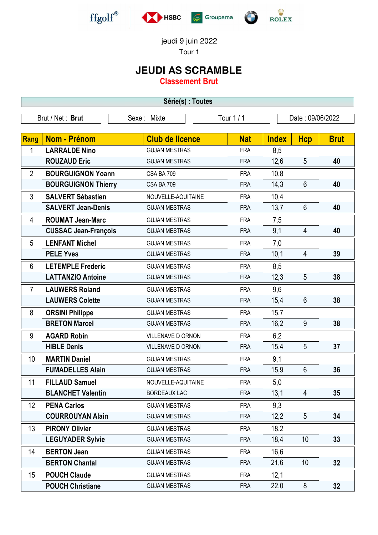





jeudi 9 juin 2022

Tour 1

## **JEUDI AS SCRAMBLE**

**Classement Brut**

| Série(s) : Toutes |                             |                        |            |                  |                 |             |  |
|-------------------|-----------------------------|------------------------|------------|------------------|-----------------|-------------|--|
|                   | Brut / Net: Brut            | Sexe: Mixte            | Tour 1 / 1 | Date: 09/06/2022 |                 |             |  |
| Rang              | <b>Nom - Prénom</b>         | <b>Club de licence</b> | <b>Nat</b> | <b>Index</b>     | <b>Hcp</b>      | <b>Brut</b> |  |
| 1                 | <b>LARRALDE Nino</b>        | <b>GUJAN MESTRAS</b>   | <b>FRA</b> | 8,5              |                 |             |  |
|                   | <b>ROUZAUD Eric</b>         | <b>GUJAN MESTRAS</b>   | <b>FRA</b> | 12,6             | 5               | 40          |  |
| $\overline{2}$    | <b>BOURGUIGNON Yoann</b>    | CSA BA 709             | <b>FRA</b> | 10,8             |                 |             |  |
|                   | <b>BOURGUIGNON Thierry</b>  | CSA BA 709             | <b>FRA</b> | 14,3             | $6\phantom{1}6$ | 40          |  |
| 3                 | <b>SALVERT Sébastien</b>    | NOUVELLE-AQUITAINE     | <b>FRA</b> | 10,4             |                 |             |  |
|                   | <b>SALVERT Jean-Denis</b>   | <b>GUJAN MESTRAS</b>   | <b>FRA</b> | 13,7             | $6\phantom{1}$  | 40          |  |
| 4                 | <b>ROUMAT Jean-Marc</b>     | <b>GUJAN MESTRAS</b>   | <b>FRA</b> | 7,5              |                 |             |  |
|                   | <b>CUSSAC Jean-François</b> | <b>GUJAN MESTRAS</b>   | <b>FRA</b> | 9,1              | $\overline{4}$  | 40          |  |
| 5                 | <b>LENFANT Michel</b>       | <b>GUJAN MESTRAS</b>   | <b>FRA</b> | 7,0              |                 |             |  |
|                   | <b>PELE Yves</b>            | <b>GUJAN MESTRAS</b>   | <b>FRA</b> | 10,1             | 4               | 39          |  |
| 6                 | <b>LETEMPLE Frederic</b>    | <b>GUJAN MESTRAS</b>   | <b>FRA</b> | 8,5              |                 |             |  |
|                   | <b>LATTANZIO Antoine</b>    | <b>GUJAN MESTRAS</b>   | <b>FRA</b> | 12,3             | 5               | 38          |  |
| $\overline{7}$    | <b>LAUWERS Roland</b>       | <b>GUJAN MESTRAS</b>   | <b>FRA</b> | 9,6              |                 |             |  |
|                   | <b>LAUWERS Colette</b>      | <b>GUJAN MESTRAS</b>   | <b>FRA</b> | 15,4             | $6\phantom{1}6$ | 38          |  |
| 8                 | <b>ORSINI Philippe</b>      | <b>GUJAN MESTRAS</b>   | <b>FRA</b> | 15,7             |                 |             |  |
|                   | <b>BRETON Marcel</b>        | <b>GUJAN MESTRAS</b>   | <b>FRA</b> | 16,2             | 9               | 38          |  |
| 9                 | <b>AGARD Robin</b>          | VILLENAVE D ORNON      | <b>FRA</b> | 6,2              |                 |             |  |
|                   | <b>HIBLE Denis</b>          | VILLENAVE D ORNON      | <b>FRA</b> | 15,4             | 5               | 37          |  |
| 10                | <b>MARTIN Daniel</b>        | <b>GUJAN MESTRAS</b>   | <b>FRA</b> | 9,1              |                 |             |  |
|                   | <b>FUMADELLES Alain</b>     | <b>GUJAN MESTRAS</b>   | <b>FRA</b> | 15,9             | $6\phantom{1}$  | 36          |  |
| 11                | <b>FILLAUD Samuel</b>       | NOUVELLE-AQUITAINE     | <b>FRA</b> | 5,0              |                 |             |  |
|                   | <b>BLANCHET Valentin</b>    | <b>BORDEAUX LAC</b>    | <b>FRA</b> | 13,1             | 4               | 35          |  |
| 12                | <b>PENA Carlos</b>          | <b>GUJAN MESTRAS</b>   | <b>FRA</b> | 9,3              |                 |             |  |
|                   | <b>COURROUYAN Alain</b>     | <b>GUJAN MESTRAS</b>   | <b>FRA</b> | 12,2             | 5               | 34          |  |
| 13                | <b>PIRONY Olivier</b>       | <b>GUJAN MESTRAS</b>   | <b>FRA</b> | 18,2             |                 |             |  |
|                   | <b>LEGUYADER Sylvie</b>     | <b>GUJAN MESTRAS</b>   | <b>FRA</b> | 18,4             | 10              | 33          |  |
| 14                | <b>BERTON Jean</b>          | <b>GUJAN MESTRAS</b>   | <b>FRA</b> | 16,6             |                 |             |  |
|                   | <b>BERTON Chantal</b>       | <b>GUJAN MESTRAS</b>   | <b>FRA</b> | 21,6             | 10              | 32          |  |
| 15                | <b>POUCH Claude</b>         | <b>GUJAN MESTRAS</b>   | <b>FRA</b> | 12,1             |                 |             |  |
|                   | <b>POUCH Christiane</b>     | <b>GUJAN MESTRAS</b>   | <b>FRA</b> | 22,0             | $\bf 8$         | 32          |  |